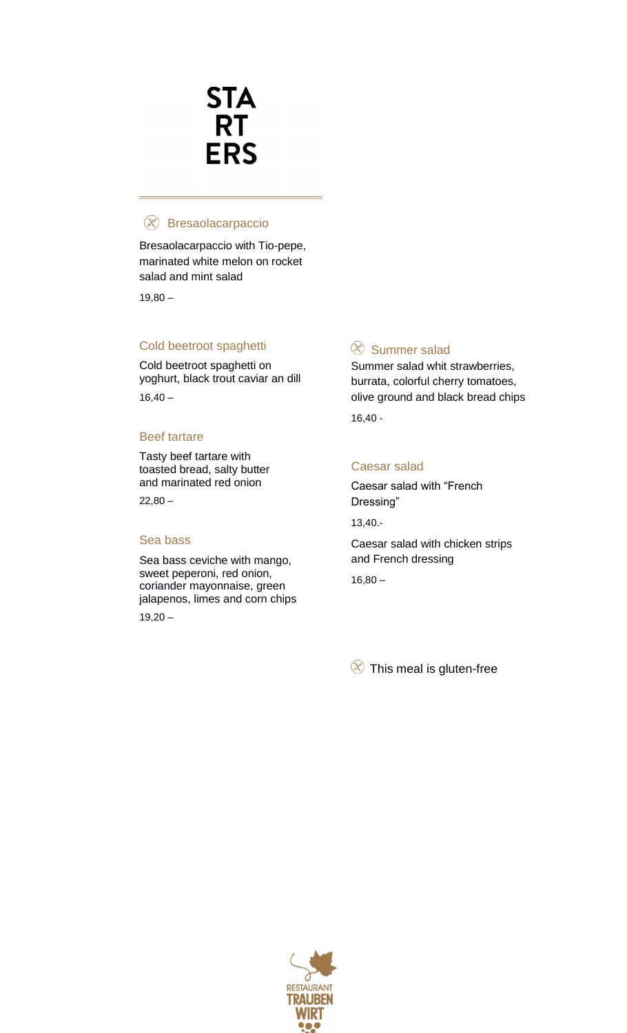## **STA RT ERS**

#### Bresaolacarpaccio

Bresaolacarpaccio with Tio-pepe, marinated white melon on rocket salad and mint salad

 $19,80 -$ 

#### Cold beetroot spaghetti

Cold beetroot spaghetti on yoghurt, black trout caviar an dill  $16,40 -$ 

#### Beef tartare

Tasty beef tartare with toasted bread, salty butter and marinated red onion  $22,80 -$ 

#### Sea bass

Sea bass ceviche with mango, sweet peperoni, red onion, coriander mayonnaise, green jalapenos, limes and corn chips  $19,20 -$ 

#### $\infty$  Summer salad

Summer salad whit strawberries, burrata, colorful cherry tomatoes, olive ground and black bread chips 16,40 -

#### Caesar salad

Caesar salad with "French Dressing"

13,40.-

Caesar salad with chicken strips and French dressing

 $16,80 -$ 

<sup>8</sup> This meal is gluten-free

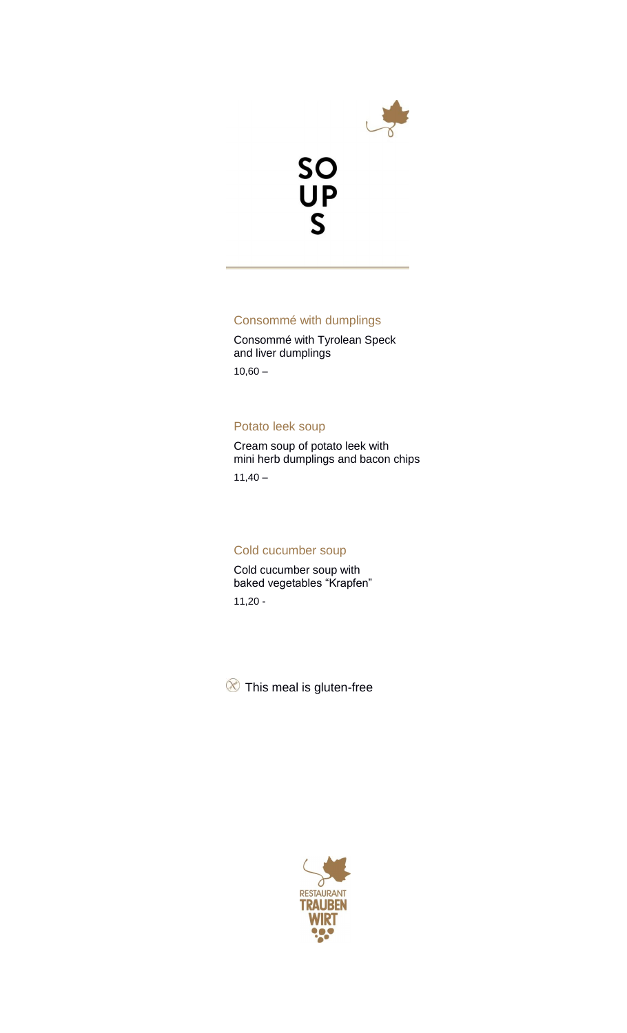



#### Consommé with dumplings

Consommé with Tyrolean Speck and liver dumplings  $10,60 -$ 

Potato leek soup

Cream soup of potato leek with mini herb dumplings and bacon chips

 $11,40 -$ 

#### Cold cucumber soup

Cold cucumber soup with baked vegetables "Krapfen" 11,20 -

<sup>8</sup> This meal is gluten-free

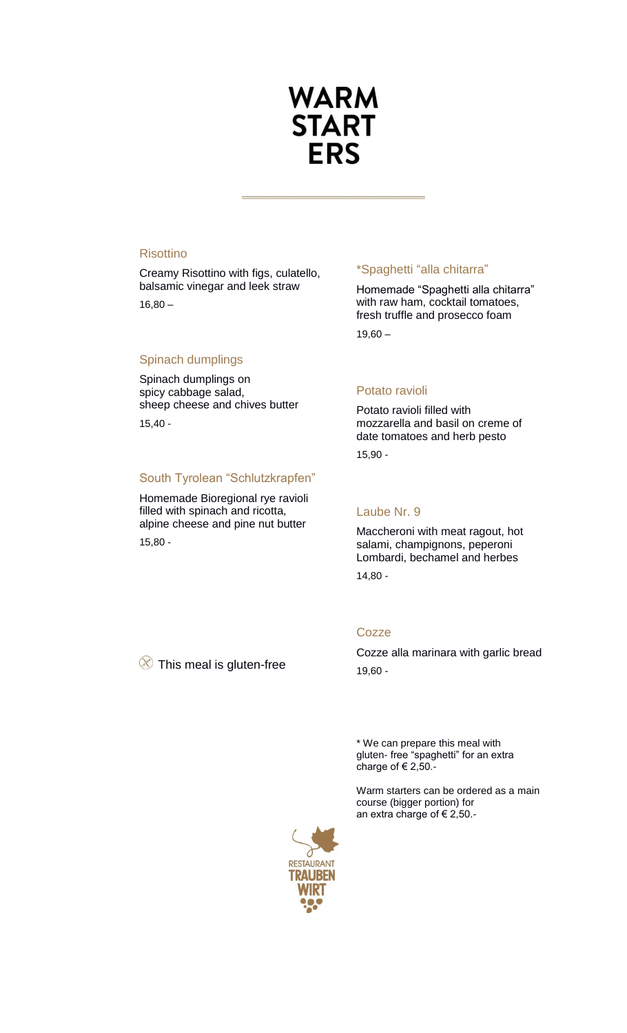## **WARM START ERS**

#### **Risottino**

Creamy Risottino with figs, culatello, balsamic vinegar and leek straw  $16,80 -$ 

#### Spinach dumplings

Spinach dumplings on spicy cabbage salad, sheep cheese and chives butter 15,40 -

#### South Tyrolean "Schlutzkrapfen"

Homemade Bioregional rye ravioli filled with spinach and ricotta, alpine cheese and pine nut butter 15,80 -

#### \*Spaghetti "alla chitarra"

Homemade "Spaghetti alla chitarra" with raw ham, cocktail tomatoes, fresh truffle and prosecco foam  $19,60 -$ 

#### Potato ravioli

Potato ravioli filled with mozzarella and basil on creme of date tomatoes and herb pesto 15,90 -

#### Laube Nr. 9

Maccheroni with meat ragout, hot salami, champignons, peperoni Lombardi, bechamel and herbes 14,80 -

#### **Cozze**

 $\otimes$  This meal is gluten-free

Cozze alla marinara with garlic bread 19,60 -

\* We can prepare this meal with gluten- free "spaghetti" for an extra charge of € 2,50.-

Warm starters can be ordered as a main course (bigger portion) for an extra charge of € 2,50.-

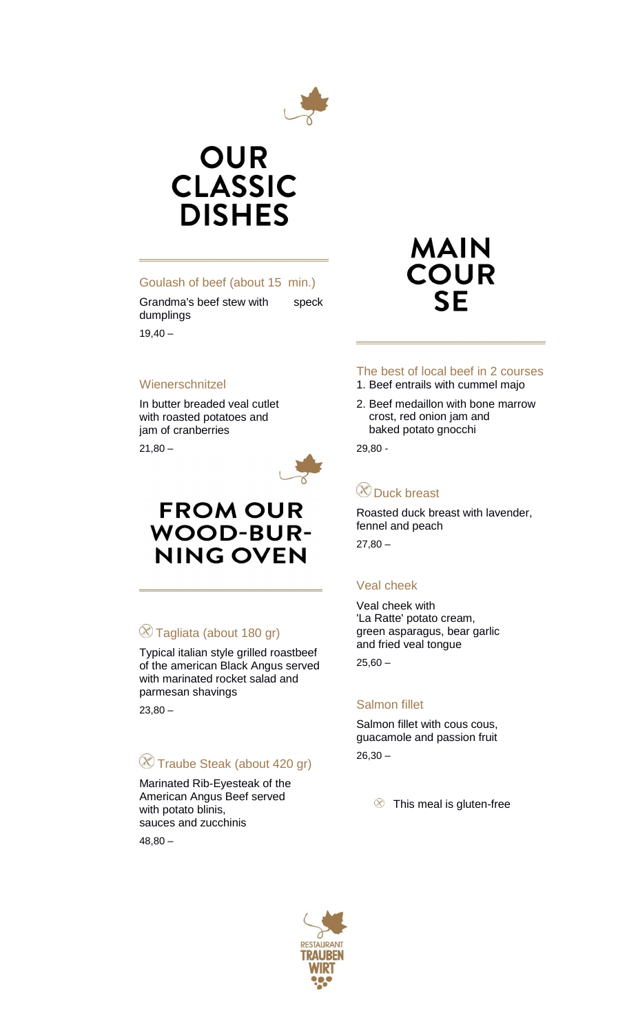

## **OUR CLASSIC DISHES**

#### Goulash of beef (about 15 min.)

Grandma's beef stew with speck dumplings

 $19,40 -$ 

#### **Wienerschnitzel**

In butter breaded veal cutlet with roasted potatoes and jam of cranberries

 $21.80 -$ 



### **FROM OUR WOOD-BUR-NING OVEN**

#### $\otimes$  Tagliata (about 180 gr)

Typical italian style grilled roastbeef of the american Black Angus served with marinated rocket salad and parmesan shavings

 $23.80 -$ 

#### Traube Steak (about 420 gr)

Marinated Rib-Eyesteak of the American Angus Beef served with potato blinis, sauces and zucchinis 48,80 –

## **MAIN COUR SF**

### The best of local beef in 2 courses

- 1. Beef entrails with cummel majo
- 2. Beef medaillon with bone marrow crost, red onion jam and baked potato gnocchi

29,80 -

### **Duck breast**

Roasted duck breast with lavender, fennel and peach

 $27,80 -$ 

#### Veal cheek

Veal cheek with 'La Ratte' potato cream, green asparagus, bear garlic and fried veal tongue  $25,60 -$ 

#### Salmon fillet

Salmon fillet with cous cous, guacamole and passion fruit  $26,30 -$ 

**8** This meal is gluten-free